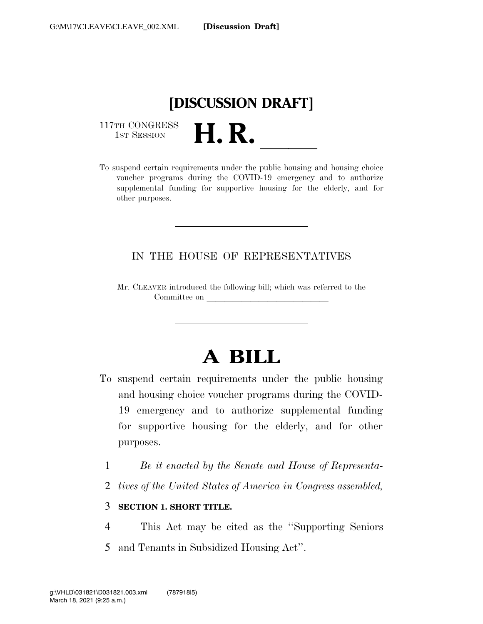

117TH CONGRESS<br>1st Session

117TH CONGRESS<br>1st SESSION<br>To suspend certain requirements under the public housing and housing choice voucher programs during the COVID-19 emergency and to authorize supplemental funding for supportive housing for the elderly, and for other purposes.

### IN THE HOUSE OF REPRESENTATIVES

Mr. CLEAVER introduced the following bill; which was referred to the Committee on

# **A BILL**

- To suspend certain requirements under the public housing and housing choice voucher programs during the COVID-19 emergency and to authorize supplemental funding for supportive housing for the elderly, and for other purposes.
	- 1 *Be it enacted by the Senate and House of Representa-*
	- 2 *tives of the United States of America in Congress assembled,*

#### 3 **SECTION 1. SHORT TITLE.**

4 This Act may be cited as the ''Supporting Seniors 5 and Tenants in Subsidized Housing Act''.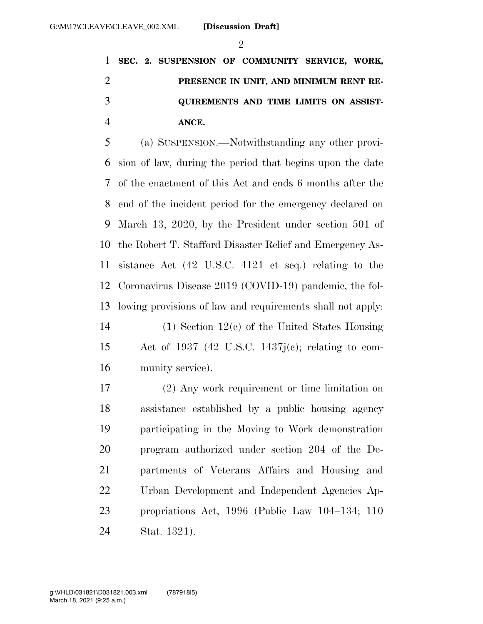$\mathfrak{D}$ 

 **SEC. 2. SUSPENSION OF COMMUNITY SERVICE, WORK, PRESENCE IN UNIT, AND MINIMUM RENT RE- QUIREMENTS AND TIME LIMITS ON ASSIST-ANCE.** 

 (a) SUSPENSION.—Notwithstanding any other provi- sion of law, during the period that begins upon the date of the enactment of this Act and ends 6 months after the end of the incident period for the emergency declared on March 13, 2020, by the President under section 501 of the Robert T. Stafford Disaster Relief and Emergency As- sistance Act (42 U.S.C. 4121 et seq.) relating to the Coronavirus Disease 2019 (COVID-19) pandemic, the fol- lowing provisions of law and requirements shall not apply: (1) Section 12(c) of the United States Housing

 Act of 1937 (42 U.S.C. 1437j(c); relating to com-munity service).

 (2) Any work requirement or time limitation on assistance established by a public housing agency participating in the Moving to Work demonstration program authorized under section 204 of the De- partments of Veterans Affairs and Housing and Urban Development and Independent Agencies Ap- propriations Act, 1996 (Public Law 104–134; 110 Stat. 1321).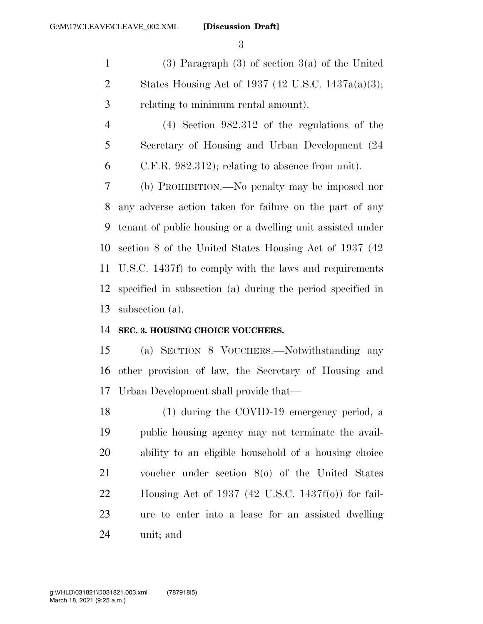(3) Paragraph (3) of section 3(a) of the United States Housing Act of 1937 (42 U.S.C. 1437a(a)(3); relating to minimum rental amount).

 (4) Section 982.312 of the regulations of the Secretary of Housing and Urban Development (24 C.F.R. 982.312); relating to absence from unit).

 (b) PROHIBITION.—No penalty may be imposed nor any adverse action taken for failure on the part of any tenant of public housing or a dwelling unit assisted under section 8 of the United States Housing Act of 1937 (42 U.S.C. 1437f) to comply with the laws and requirements specified in subsection (a) during the period specified in subsection (a).

#### **SEC. 3. HOUSING CHOICE VOUCHERS.**

 (a) SECTION 8 VOUCHERS.—Notwithstanding any other provision of law, the Secretary of Housing and Urban Development shall provide that—

 (1) during the COVID-19 emergency period, a public housing agency may not terminate the avail- ability to an eligible household of a housing choice voucher under section 8(o) of the United States Housing Act of 1937 (42 U.S.C. 1437f(o)) for fail- ure to enter into a lease for an assisted dwelling unit; and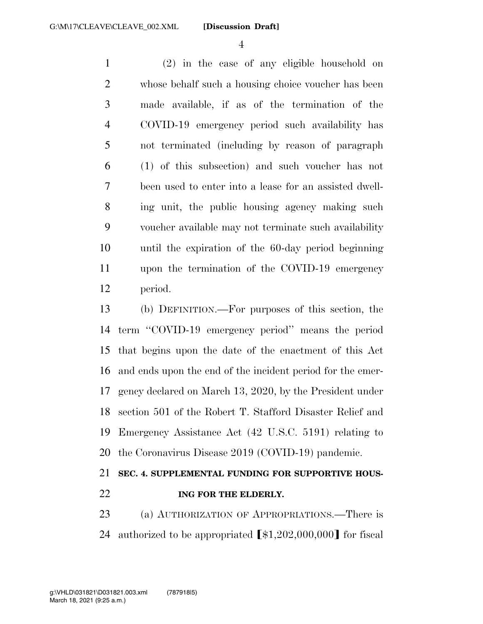(2) in the case of any eligible household on whose behalf such a housing choice voucher has been made available, if as of the termination of the COVID-19 emergency period such availability has not terminated (including by reason of paragraph (1) of this subsection) and such voucher has not been used to enter into a lease for an assisted dwell- ing unit, the public housing agency making such voucher available may not terminate such availability until the expiration of the 60-day period beginning upon the termination of the COVID-19 emergency period.

 (b) DEFINITION.—For purposes of this section, the term ''COVID-19 emergency period'' means the period that begins upon the date of the enactment of this Act and ends upon the end of the incident period for the emer- gency declared on March 13, 2020, by the President under section 501 of the Robert T. Stafford Disaster Relief and Emergency Assistance Act (42 U.S.C. 5191) relating to the Coronavirus Disease 2019 (COVID-19) pandemic.

## **SEC. 4. SUPPLEMENTAL FUNDING FOR SUPPORTIVE HOUS-ING FOR THE ELDERLY.**

 (a) AUTHORIZATION OF APPROPRIATIONS.—There is 24 authorized to be appropriated  $\left[ $1,202,000,000 \right]$  for fiscal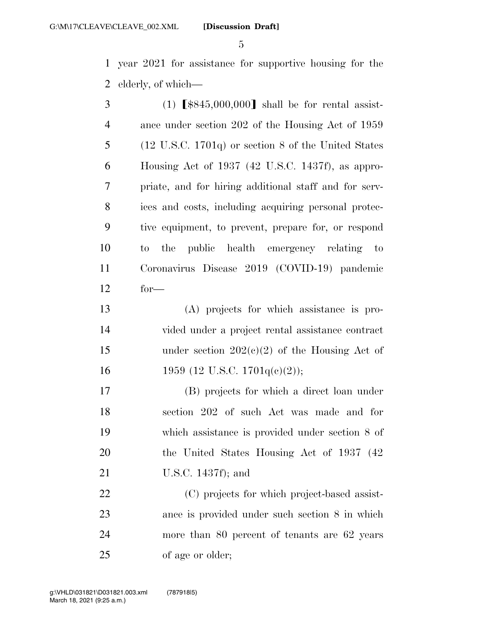year 2021 for assistance for supportive housing for the elderly, of which—

| 3              | $(1)$ $\left[ $845,000,000 \right]$ shall be for rental assist- |
|----------------|-----------------------------------------------------------------|
| $\overline{4}$ | ance under section 202 of the Housing Act of 1959               |
| 5              | $(12 \text{ U.S.C. } 1701q)$ or section 8 of the United States  |
| 6              | Housing Act of 1937 (42 U.S.C. 1437f), as appro-                |
| 7              | priate, and for hiring additional staff and for serv-           |
| 8              | ices and costs, including acquiring personal protec-            |
| 9              | tive equipment, to prevent, prepare for, or respond             |
| 10             | the public health emergency relating to<br>to                   |
| 11             | Coronavirus Disease 2019 (COVID-19) pandemic                    |
| 12             | $for-$                                                          |
| 13             | (A) projects for which assistance is pro-                       |
| 14             | vided under a project rental assistance contract                |
| 15             | under section $202(e)(2)$ of the Housing Act of                 |
| 16             | 1959 (12 U.S.C. 1701 $q(e)(2)$ );                               |
| 17             | (B) projects for which a direct loan under                      |
| 18             | section 202 of such Act was made and for                        |
| 19             | which assistance is provided under section 8 of                 |
| 20             | the United States Housing Act of 1937 (42)                      |
| 21             | U.S.C. $1437f$ ; and                                            |
| 22             | (C) projects for which project-based assist-                    |
| 23             | ance is provided under such section 8 in which                  |
| 24             | more than 80 percent of tenants are 62 years                    |

of age or older;

March 18, 2021 (9:25 a.m.) g:\VHLD\031821\D031821.003.xml (787918|5)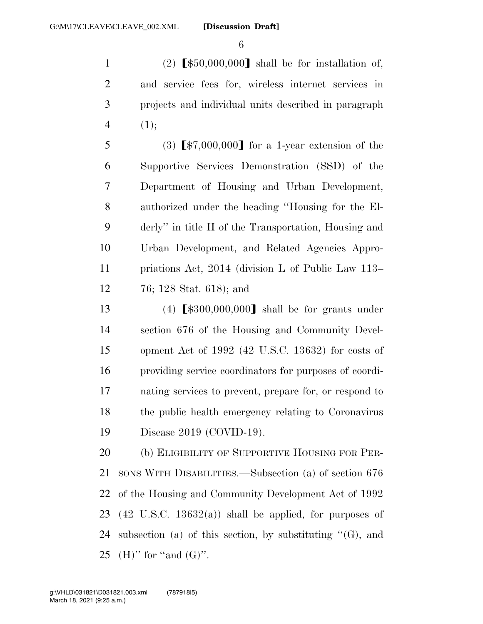1 (2)  $\llbracket \frac{$50,000,000}{\text{ shall be for installation of}}$ , and service fees for, wireless internet services in projects and individual units described in paragraph (1);

5 (3)  $\lceil $7,000,000 \rceil$  for a 1-year extension of the Supportive Services Demonstration (SSD) of the Department of Housing and Urban Development, authorized under the heading ''Housing for the El- derly'' in title II of the Transportation, Housing and Urban Development, and Related Agencies Appro- priations Act, 2014 (division L of Public Law 113– 76; 128 Stat. 618); and

13 (4)  $\lceil \$300,000,000\rceil$  shall be for grants under section 676 of the Housing and Community Devel- opment Act of 1992 (42 U.S.C. 13632) for costs of providing service coordinators for purposes of coordi- nating services to prevent, prepare for, or respond to the public health emergency relating to Coronavirus Disease 2019 (COVID-19).

20 (b) ELIGIBILITY OF SUPPORTIVE HOUSING FOR PER- SONS WITH DISABILITIES.—Subsection (a) of section 676 of the Housing and Community Development Act of 1992 23 (42 U.S.C. 13632(a)) shall be applied, for purposes of 24 subsection (a) of this section, by substituting  $\mathcal{C}(G)$ , and 25 (H)" for "and  $(G)$ ".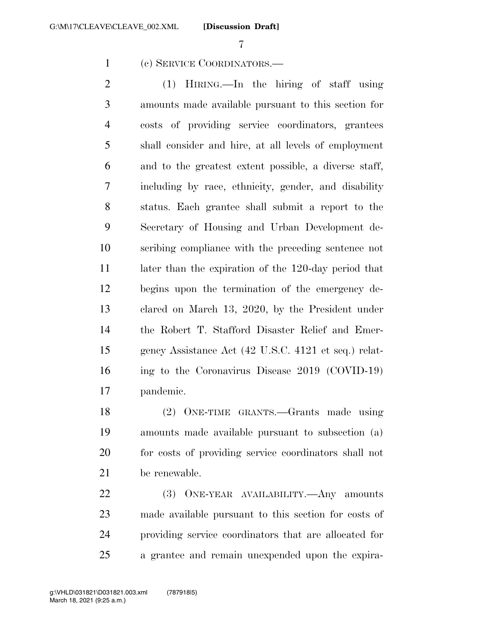**[Discussion Draft]** 

(c) SERVICE COORDINATORS.—

 (1) HIRING.—In the hiring of staff using amounts made available pursuant to this section for costs of providing service coordinators, grantees shall consider and hire, at all levels of employment and to the greatest extent possible, a diverse staff, including by race, ethnicity, gender, and disability status. Each grantee shall submit a report to the Secretary of Housing and Urban Development de- scribing compliance with the preceding sentence not 11 later than the expiration of the 120-day period that begins upon the termination of the emergency de- clared on March 13, 2020, by the President under the Robert T. Stafford Disaster Relief and Emer- gency Assistance Act (42 U.S.C. 4121 et seq.) relat- ing to the Coronavirus Disease 2019 (COVID-19) pandemic.

 (2) ONE-TIME GRANTS.—Grants made using amounts made available pursuant to subsection (a) for costs of providing service coordinators shall not be renewable.

 (3) ONE-YEAR AVAILABILITY.—Any amounts made available pursuant to this section for costs of providing service coordinators that are allocated for a grantee and remain unexpended upon the expira-